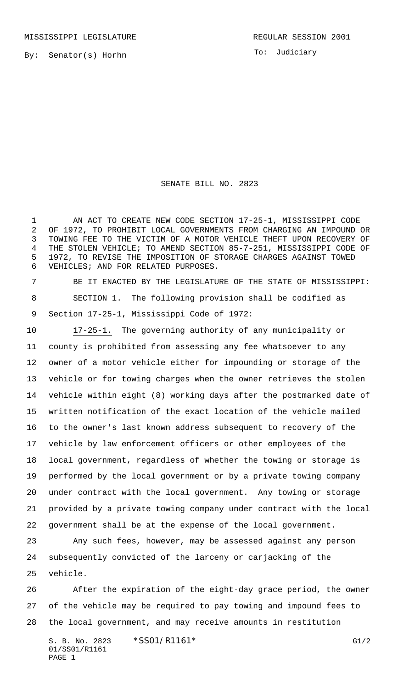By: Senator(s) Horhn

To: Judiciary

## SENATE BILL NO. 2823

1 AN ACT TO CREATE NEW CODE SECTION 17-25-1, MISSISSIPPI CODE OF 1972, TO PROHIBIT LOCAL GOVERNMENTS FROM CHARGING AN IMPOUND OR TOWING FEE TO THE VICTIM OF A MOTOR VEHICLE THEFT UPON RECOVERY OF THE STOLEN VEHICLE; TO AMEND SECTION 85-7-251, MISSISSIPPI CODE OF 1972, TO REVISE THE IMPOSITION OF STORAGE CHARGES AGAINST TOWED VEHICLES; AND FOR RELATED PURPOSES.

 BE IT ENACTED BY THE LEGISLATURE OF THE STATE OF MISSISSIPPI: SECTION 1. The following provision shall be codified as Section 17-25-1, Mississippi Code of 1972:

 17-25-1. The governing authority of any municipality or county is prohibited from assessing any fee whatsoever to any owner of a motor vehicle either for impounding or storage of the vehicle or for towing charges when the owner retrieves the stolen vehicle within eight (8) working days after the postmarked date of written notification of the exact location of the vehicle mailed to the owner's last known address subsequent to recovery of the vehicle by law enforcement officers or other employees of the local government, regardless of whether the towing or storage is performed by the local government or by a private towing company under contract with the local government. Any towing or storage provided by a private towing company under contract with the local government shall be at the expense of the local government.

 Any such fees, however, may be assessed against any person subsequently convicted of the larceny or carjacking of the vehicle.

 After the expiration of the eight-day grace period, the owner of the vehicle may be required to pay towing and impound fees to the local government, and may receive amounts in restitution

S. B. No. 2823 \* SS01/R1161\* G1/2 01/SS01/R1161 PAGE 1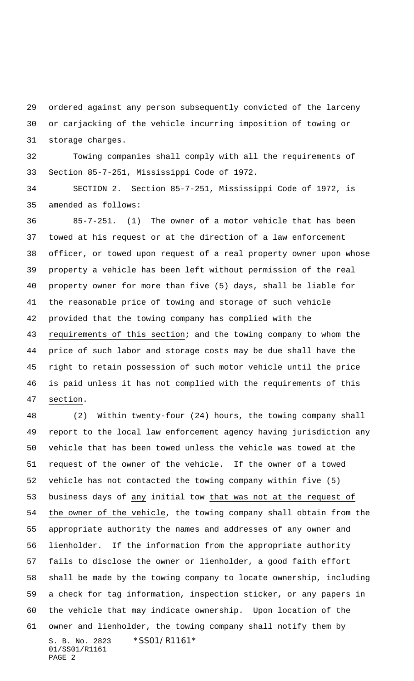ordered against any person subsequently convicted of the larceny or carjacking of the vehicle incurring imposition of towing or storage charges.

 Towing companies shall comply with all the requirements of Section 85-7-251, Mississippi Code of 1972.

 SECTION 2. Section 85-7-251, Mississippi Code of 1972, is amended as follows:

 85-7-251. (1) The owner of a motor vehicle that has been towed at his request or at the direction of a law enforcement officer, or towed upon request of a real property owner upon whose property a vehicle has been left without permission of the real property owner for more than five (5) days, shall be liable for the reasonable price of towing and storage of such vehicle provided that the towing company has complied with the requirements of this section; and the towing company to whom the price of such labor and storage costs may be due shall have the right to retain possession of such motor vehicle until the price 46 is paid unless it has not complied with the requirements of this

section.

S. B. No. 2823 \*SS01/R1161\* 01/SS01/R1161 PAGE 2 (2) Within twenty-four (24) hours, the towing company shall report to the local law enforcement agency having jurisdiction any vehicle that has been towed unless the vehicle was towed at the request of the owner of the vehicle. If the owner of a towed vehicle has not contacted the towing company within five (5) business days of any initial tow that was not at the request of the owner of the vehicle, the towing company shall obtain from the appropriate authority the names and addresses of any owner and lienholder. If the information from the appropriate authority fails to disclose the owner or lienholder, a good faith effort shall be made by the towing company to locate ownership, including a check for tag information, inspection sticker, or any papers in the vehicle that may indicate ownership. Upon location of the owner and lienholder, the towing company shall notify them by